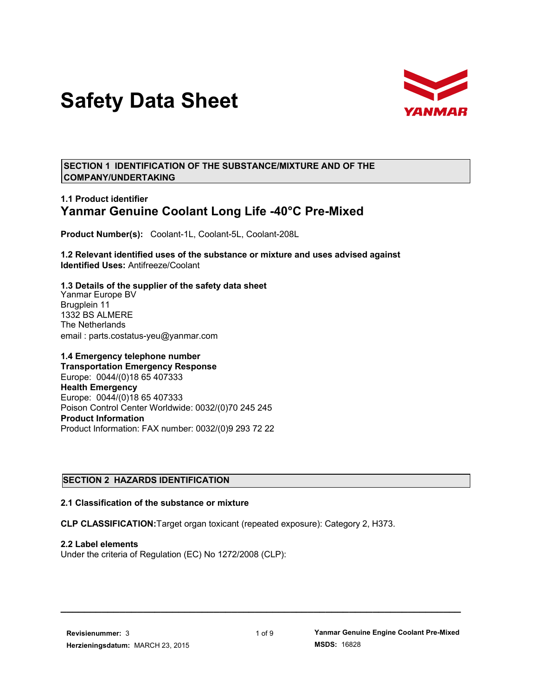# **Safety Data Sheet**



**SECTION 1 IDENTIFICATION OF THE SUBSTANCE/MIXTURE AND OF THE COMPANY/UNDERTAKING**

## **1.1 Product identifier Yanmar Genuine Coolant Long Life -40°C Pre-Mixed**

**Product Number(s):** Coolant-1L, Coolant-5L, Coolant-208L

**1.2 Relevant identified uses of the substance or mixture and uses advised against Identified Uses:** Antifreeze/Coolant

**1.3 Details of the supplier of the safety data sheet** Yanmar Europe BV Brugplein 11 1332 BS ALMERE The Netherlands email : parts.costatus-yeu@yanmar.com

#### **1.4 Emergency telephone number**

**Transportation Emergency Response** Europe: 0044/(0)18 65 407333 **Health Emergency** Europe: 0044/(0)18 65 407333 Poison Control Center Worldwide: 0032/(0)70 245 245 **Product Information** Product Information: FAX number: 0032/(0)9 293 72 22

## **SECTION 2 HAZARDS IDENTIFICATION**

#### **2.1 Classification of the substance or mixture**

**CLP CLASSIFICATION:**Target organ toxicant (repeated exposure): Category 2, H373.

#### **2.2 Label elements**

Under the criteria of Regulation (EC) No 1272/2008 (CLP):

**\_\_\_\_\_\_\_\_\_\_\_\_\_\_\_\_\_\_\_\_\_\_\_\_\_\_\_\_\_\_\_\_\_\_\_\_\_\_\_\_\_\_\_\_\_\_\_\_\_\_\_\_\_\_\_\_\_\_\_\_\_\_\_\_\_\_\_\_**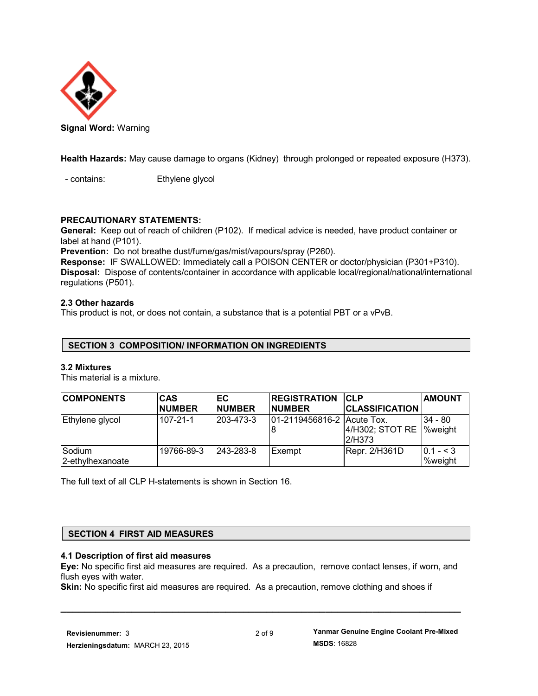

**Health Hazards:** May cause damage to organs (Kidney) through prolonged or repeated exposure (H373).

- contains: Ethylene glycol

## **PRECAUTIONARY STATEMENTS:**

**General:** Keep out of reach of children (P102). If medical advice is needed, have product container or label at hand (P101).

**Prevention:** Do not breathe dust/fume/gas/mist/vapours/spray (P260).

**Response:** IF SWALLOWED: Immediately call a POISON CENTER or doctor/physician (P301+P310). **Disposal:** Dispose of contents/container in accordance with applicable local/regional/national/international regulations (P501).

## **2.3 Other hazards**

This product is not, or does not contain, a substance that is a potential PBT or a vPvB.

## **SECTION 3 COMPOSITION/ INFORMATION ON INGREDIENTS**

### **3.2 Mixtures**

This material is a mixture.

| <b>COMPONENTS</b> | <b>CAS</b>     | EC.           | <b>REGISTRATION</b>        | <b>CLP</b>            | <b>AMOUNT</b>  |
|-------------------|----------------|---------------|----------------------------|-----------------------|----------------|
|                   | <b>NUMBER</b>  | <b>NUMBER</b> | <b>NUMBER</b>              | <b>CLASSIFICATION</b> |                |
| Ethylene glycol   | $107 - 21 - 1$ | 203-473-3     | 01-2119456816-2 Acute Tox. |                       | 34 - 80        |
|                   |                |               |                            | 4/H302; STOT RE       | <b>%weight</b> |
|                   |                |               |                            | 2/H373                |                |
| Sodium            | 19766-89-3     | 243-283-8     | Exempt                     | Repr. 2/H361D         | $ 0.1 - 3 $    |
| 2-ethylhexanoate  |                |               |                            |                       | %weight        |

The full text of all CLP H-statements is shown in Section 16.

## **SECTION 4 FIRST AID MEASURES**

#### **4.1 Description of first aid measures**

**Eye:** No specific first aid measures are required. As a precaution, remove contact lenses, if worn, and flush eyes with water.

**\_\_\_\_\_\_\_\_\_\_\_\_\_\_\_\_\_\_\_\_\_\_\_\_\_\_\_\_\_\_\_\_\_\_\_\_\_\_\_\_\_\_\_\_\_\_\_\_\_\_\_\_\_\_\_\_\_\_\_\_\_\_\_\_\_\_\_\_**

**Skin:** No specific first aid measures are required. As a precaution, remove clothing and shoes if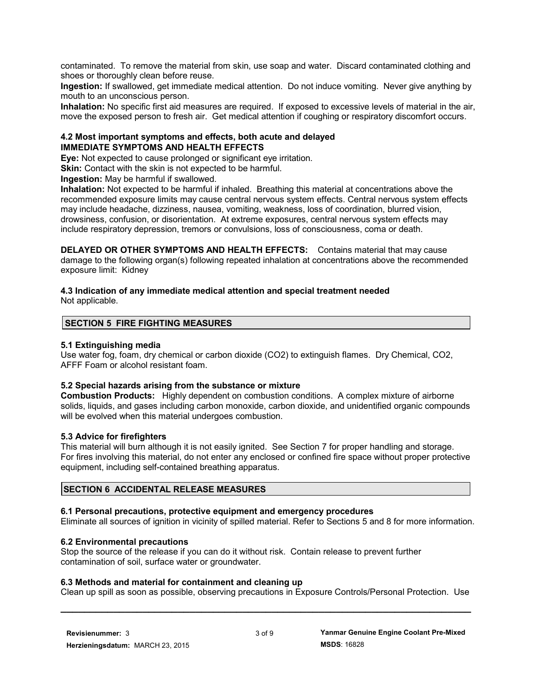contaminated. To remove the material from skin, use soap and water. Discard contaminated clothing and shoes or thoroughly clean before reuse.

**Ingestion:** If swallowed, get immediate medical attention. Do not induce vomiting. Never give anything by mouth to an unconscious person.

**Inhalation:** No specific first aid measures are required. If exposed to excessive levels of material in the air, move the exposed person to fresh air. Get medical attention if coughing or respiratory discomfort occurs.

### **4.2 Most important symptoms and effects, both acute and delayed IMMEDIATE SYMPTOMS AND HEALTH EFFECTS**

**Eye:** Not expected to cause prolonged or significant eye irritation.

**Skin:** Contact with the skin is not expected to be harmful.

**Ingestion:** May be harmful if swallowed.

**Inhalation:** Not expected to be harmful if inhaled. Breathing this material at concentrations above the recommended exposure limits may cause central nervous system effects. Central nervous system effects may include headache, dizziness, nausea, vomiting, weakness, loss of coordination, blurred vision, drowsiness, confusion, or disorientation. At extreme exposures, central nervous system effects may include respiratory depression, tremors or convulsions, loss of consciousness, coma or death.

**DELAYED OR OTHER SYMPTOMS AND HEALTH EFFECTS:** Contains material that may cause damage to the following organ(s) following repeated inhalation at concentrations above the recommended exposure limit: Kidney

**4.3 Indication of any immediate medical attention and special treatment needed** Not applicable.

## **SECTION 5 FIRE FIGHTING MEASURES**

### **5.1 Extinguishing media**

Use water fog, foam, dry chemical or carbon dioxide (CO2) to extinguish flames. Dry Chemical, CO2, AFFF Foam or alcohol resistant foam.

#### **5.2 Special hazards arising from the substance or mixture**

**Combustion Products:** Highly dependent on combustion conditions. A complex mixture of airborne solids, liquids, and gases including carbon monoxide, carbon dioxide, and unidentified organic compounds will be evolved when this material undergoes combustion.

#### **5.3 Advice for firefighters**

This material will burn although it is not easily ignited. See Section 7 for proper handling and storage. For fires involving this material, do not enter any enclosed or confined fire space without proper protective equipment, including self-contained breathing apparatus.

## **SECTION 6 ACCIDENTAL RELEASE MEASURES**

#### **6.1 Personal precautions, protective equipment and emergency procedures**

Eliminate all sources of ignition in vicinity of spilled material. Refer to Sections 5 and 8 for more information.

#### **6.2 Environmental precautions**

Stop the source of the release if you can do it without risk. Contain release to prevent further contamination of soil, surface water or groundwater.

#### **6.3 Methods and material for containment and cleaning up**

Clean up spill as soon as possible, observing precautions in Exposure Controls/Personal Protection. Use **\_\_\_\_\_\_\_\_\_\_\_\_\_\_\_\_\_\_\_\_\_\_\_\_\_\_\_\_\_\_\_\_\_\_\_\_\_\_\_\_\_\_\_\_\_\_\_\_\_\_\_\_\_\_\_\_\_\_\_\_\_\_\_\_\_\_\_\_\_\_**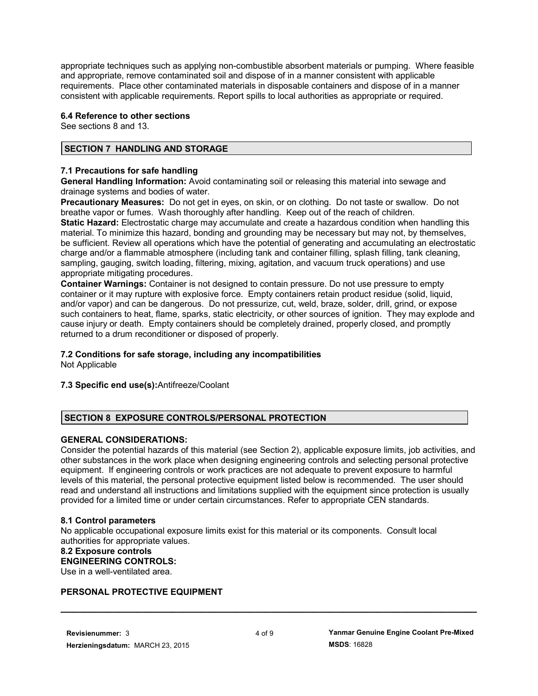appropriate techniques such as applying non-combustible absorbent materials or pumping. Where feasible and appropriate, remove contaminated soil and dispose of in a manner consistent with applicable requirements. Place other contaminated materials in disposable containers and dispose of in a manner consistent with applicable requirements. Report spills to local authorities as appropriate or required.

### **6.4 Reference to other sections**

See sections 8 and 13.

### **SECTION 7 HANDLING AND STORAGE**

#### **7.1 Precautions for safe handling**

**General Handling Information:** Avoid contaminating soil or releasing this material into sewage and drainage systems and bodies of water.

**Precautionary Measures:** Do not get in eyes, on skin, or on clothing. Do not taste or swallow. Do not breathe vapor or fumes. Wash thoroughly after handling. Keep out of the reach of children.

**Static Hazard:** Electrostatic charge may accumulate and create a hazardous condition when handling this material. To minimize this hazard, bonding and grounding may be necessary but may not, by themselves, be sufficient. Review all operations which have the potential of generating and accumulating an electrostatic charge and/or a flammable atmosphere (including tank and container filling, splash filling, tank cleaning, sampling, gauging, switch loading, filtering, mixing, agitation, and vacuum truck operations) and use appropriate mitigating procedures.

**Container Warnings:** Container is not designed to contain pressure. Do not use pressure to empty container or it may rupture with explosive force. Empty containers retain product residue (solid, liquid, and/or vapor) and can be dangerous. Do not pressurize, cut, weld, braze, solder, drill, grind, or expose such containers to heat, flame, sparks, static electricity, or other sources of ignition. They may explode and cause injury or death. Empty containers should be completely drained, properly closed, and promptly returned to a drum reconditioner or disposed of properly.

#### **7.2 Conditions for safe storage, including any incompatibilities**

Not Applicable

**7.3 Specific end use(s):**Antifreeze/Coolant

## **SECTION 8 EXPOSURE CONTROLS/PERSONAL PROTECTION**

## **GENERAL CONSIDERATIONS:**

Consider the potential hazards of this material (see Section 2), applicable exposure limits, job activities, and other substances in the work place when designing engineering controls and selecting personal protective equipment. If engineering controls or work practices are not adequate to prevent exposure to harmful levels of this material, the personal protective equipment listed below is recommended. The user should read and understand all instructions and limitations supplied with the equipment since protection is usually provided for a limited time or under certain circumstances. Refer to appropriate CEN standards.

#### **8.1 Control parameters**

No applicable occupational exposure limits exist for this material or its components. Consult local authorities for appropriate values.

#### **8.2 Exposure controls ENGINEERING CONTROLS:**

Use in a well-ventilated area.

## **PERSONAL PROTECTIVE EQUIPMENT**

**\_\_\_\_\_\_\_\_\_\_\_\_\_\_\_\_\_\_\_\_\_\_\_\_\_\_\_\_\_\_\_\_\_\_\_\_\_\_\_\_\_\_\_\_\_\_\_\_\_\_\_\_\_\_\_\_\_\_\_\_\_\_\_\_\_\_\_\_\_\_\_**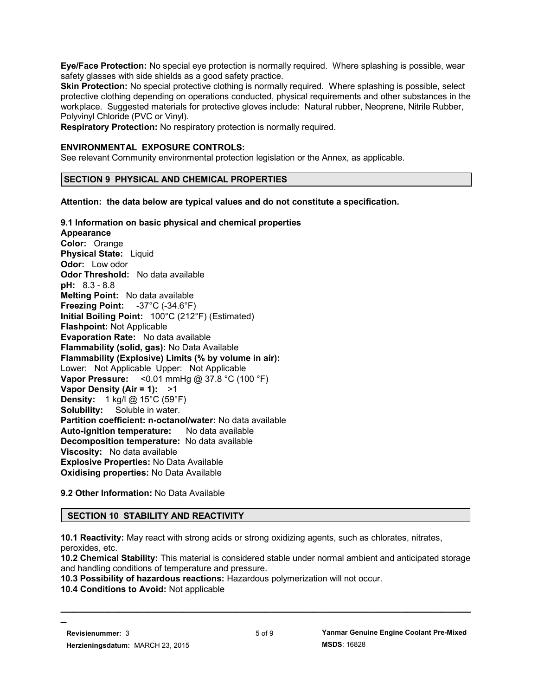**Eye/Face Protection:** No special eye protection is normally required. Where splashing is possible, wear safety glasses with side shields as a good safety practice.

Skin Protection: No special protective clothing is normally required. Where splashing is possible, select protective clothing depending on operations conducted, physical requirements and other substances in the workplace. Suggested materials for protective gloves include: Natural rubber, Neoprene, Nitrile Rubber, Polyvinyl Chloride (PVC or Vinyl).

**Respiratory Protection:** No respiratory protection is normally required.

#### **ENVIRONMENTAL EXPOSURE CONTROLS:**

See relevant Community environmental protection legislation or the Annex, as applicable.

### **SECTION 9 PHYSICAL AND CHEMICAL PROPERTIES**

**Attention: the data below are typical values and do not constitute a specification.**

**9.1 Information on basic physical and chemical properties Appearance Color:** Orange **Physical State:** Liquid **Odor:** Low odor **Odor Threshold:** No data available **pH:** 8.3 - 8.8 **Melting Point:** No data available **Freezing Point:** -37°C (-34.6°F) **Initial Boiling Point:** 100°C (212°F) (Estimated) **Flashpoint:** Not Applicable **Evaporation Rate:** No data available **Flammability (solid, gas):** No Data Available **Flammability (Explosive) Limits (% by volume in air):** Lower: Not Applicable Upper: Not Applicable **Vapor Pressure:** <0.01 mmHg @ 37.8 °C (100 °F) **Vapor Density (Air = 1):** >1 **Density:** 1 kg/l @ 15°C (59°F) **Solubility:** Soluble in water. **Partition coefficient: n-octanol/water:** No data available **Auto-ignition temperature:** No data available **Decomposition temperature:** No data available **Viscosity:** No data available **Explosive Properties:** No Data Available **Oxidising properties:** No Data Available

**9.2 Other Information:** No Data Available

## **SECTION 10 STABILITY AND REACTIVITY**

**10.1 Reactivity:** May react with strong acids or strong oxidizing agents, such as chlorates, nitrates, peroxides, etc.

**10.2 Chemical Stability:** This material is considered stable under normal ambient and anticipated storage and handling conditions of temperature and pressure.

**10.3 Possibility of hazardous reactions:** Hazardous polymerization will not occur.

**10.4 Conditions to Avoid:** Not applicable

**\_**

**\_\_\_\_\_\_\_\_\_\_\_\_\_\_\_\_\_\_\_\_\_\_\_\_\_\_\_\_\_\_\_\_\_\_\_\_\_\_\_\_\_\_\_\_\_\_\_\_\_\_\_\_\_\_\_\_\_\_\_\_\_\_\_\_\_\_\_\_\_\_**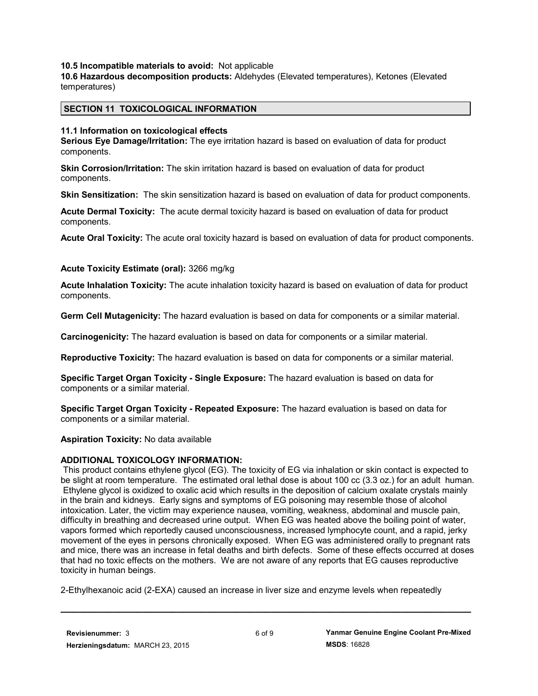**10.5 Incompatible materials to avoid:** Not applicable

**10.6 Hazardous decomposition products:** Aldehydes (Elevated temperatures), Ketones (Elevated temperatures)

### **SECTION 11 TOXICOLOGICAL INFORMATION**

#### **11.1 Information on toxicological effects**

**Serious Eye Damage/Irritation:** The eye irritation hazard is based on evaluation of data for product components.

**Skin Corrosion/Irritation:** The skin irritation hazard is based on evaluation of data for product components.

**Skin Sensitization:** The skin sensitization hazard is based on evaluation of data for product components.

**Acute Dermal Toxicity:** The acute dermal toxicity hazard is based on evaluation of data for product components.

**Acute Oral Toxicity:** The acute oral toxicity hazard is based on evaluation of data for product components.

### **Acute Toxicity Estimate (oral):** 3266 mg/kg

**Acute Inhalation Toxicity:** The acute inhalation toxicity hazard is based on evaluation of data for product components.

**Germ Cell Mutagenicity:** The hazard evaluation is based on data for components or a similar material.

**Carcinogenicity:** The hazard evaluation is based on data for components or a similar material.

**Reproductive Toxicity:** The hazard evaluation is based on data for components or a similar material.

**Specific Target Organ Toxicity - Single Exposure:** The hazard evaluation is based on data for components or a similar material.

**Specific Target Organ Toxicity - Repeated Exposure:** The hazard evaluation is based on data for components or a similar material.

#### **Aspiration Toxicity:** No data available

#### **ADDITIONAL TOXICOLOGY INFORMATION:**

This product contains ethylene glycol (EG). The toxicity of EG via inhalation or skin contact is expected to be slight at room temperature. The estimated oral lethal dose is about 100 cc (3.3 oz.) for an adult human. Ethylene glycol is oxidized to oxalic acid which results in the deposition of calcium oxalate crystals mainly in the brain and kidneys. Early signs and symptoms of EG poisoning may resemble those of alcohol intoxication. Later, the victim may experience nausea, vomiting, weakness, abdominal and muscle pain, difficulty in breathing and decreased urine output. When EG was heated above the boiling point of water, vapors formed which reportedly caused unconsciousness, increased lymphocyte count, and a rapid, jerky movement of the eyes in persons chronically exposed. When EG was administered orally to pregnant rats and mice, there was an increase in fetal deaths and birth defects. Some of these effects occurred at doses that had no toxic effects on the mothers. We are not aware of any reports that EG causes reproductive toxicity in human beings.

2-Ethylhexanoic acid (2-EXA) caused an increase in liver size and enzyme levels when repeatedly

**\_\_\_\_\_\_\_\_\_\_\_\_\_\_\_\_\_\_\_\_\_\_\_\_\_\_\_\_\_\_\_\_\_\_\_\_\_\_\_\_\_\_\_\_\_\_\_\_\_\_\_\_\_\_\_\_\_\_\_\_\_\_\_\_\_\_\_\_\_\_**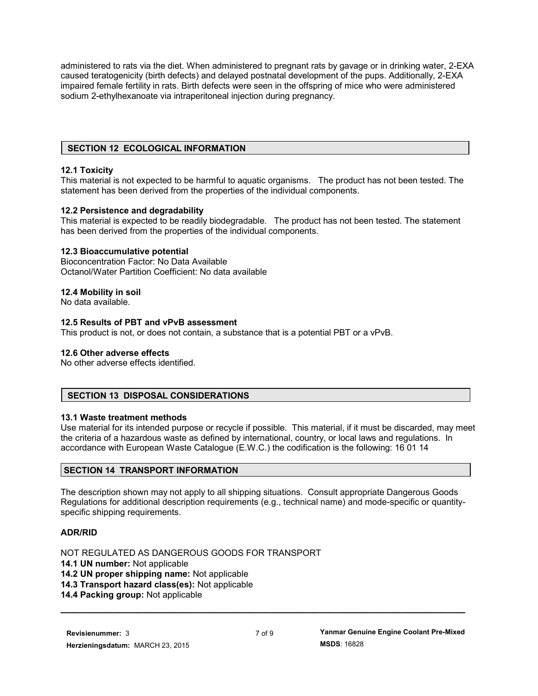administered to rats via the diet. When administered to pregnant rats by gavage or in drinking water, 2-EXA caused teratogenicity (birth defects) and delayed postnatal development of the pups. Additionally, 2-EXA impaired female fertility in rats. Birth defects were seen in the offspring of mice who were administered sodium 2-ethylhexanoate via intraperitoneal injection during pregnancy.

## **SECTION 12 ECOLOGICAL INFORMATION**

## **12.1 Toxicity**

This material is not expected to be harmful to aquatic organisms. The product has not been tested. The statement has been derived from the properties of the individual components.

### **12.2 Persistence and degradability**

This material is expected to be readily biodegradable. The product has not been tested. The statement has been derived from the properties of the individual components.

### **12.3 Bioaccumulative potential**

Bioconcentration Factor: No Data Available Octanol/Water Partition Coefficient: No data available

### **12.4 Mobility in soil**

No data available.

#### **12.5 Results of PBT and vPvB assessment**

This product is not, or does not contain, a substance that is a potential PBT or a vPvB.

#### **12.6 Other adverse effects**

No other adverse effects identified.

## **SECTION 13 DISPOSAL CONSIDERATIONS**

#### **13.1 Waste treatment methods**

Use material for its intended purpose or recycle if possible. This material, if it must be discarded, may meet the criteria of a hazardous waste as defined by international, country, or local laws and regulations. In accordance with European Waste Catalogue (E.W.C.) the codification is the following: 16 01 14

## **SECTION 14 TRANSPORT INFORMATION**

The description shown may not apply to all shipping situations. Consult appropriate Dangerous Goods Regulations for additional description requirements (e.g., technical name) and mode-specific or quantityspecific shipping requirements.

#### **ADR/RID**

NOT REGULATED AS DANGEROUS GOODS FOR TRANSPORT

**14.1 UN number:** Not applicable

**14.2 UN proper shipping name:** Not applicable

**14.3 Transport hazard class(es):** Not applicable

**14.4 Packing group:** Not applicable

**\_\_\_\_\_\_\_\_\_\_\_\_\_\_\_\_\_\_\_\_\_\_\_\_\_\_\_\_\_\_\_\_\_\_\_\_\_\_\_\_\_\_\_\_\_\_\_\_\_\_\_\_\_\_\_\_\_\_\_\_\_\_\_\_\_\_\_\_\_**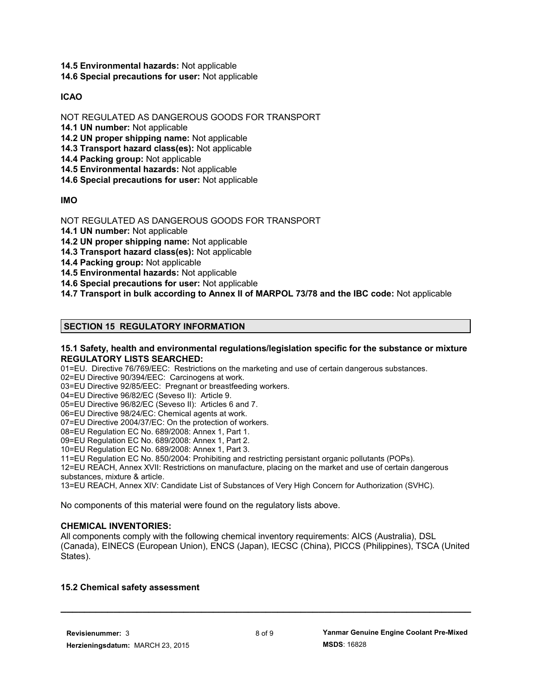- **14.5 Environmental hazards:** Not applicable
- **14.6 Special precautions for user:** Not applicable

## **ICAO**

NOT REGULATED AS DANGEROUS GOODS FOR TRANSPORT

**14.1 UN number:** Not applicable

**14.2 UN proper shipping name:** Not applicable

**14.3 Transport hazard class(es):** Not applicable

**14.4 Packing group:** Not applicable

**14.5 Environmental hazards:** Not applicable

**14.6 Special precautions for user:** Not applicable

## **IMO**

NOT REGULATED AS DANGEROUS GOODS FOR TRANSPORT

**14.1 UN number:** Not applicable

**14.2 UN proper shipping name:** Not applicable

**14.3 Transport hazard class(es):** Not applicable

**14.4 Packing group:** Not applicable

**14.5 Environmental hazards:** Not applicable

**14.6 Special precautions for user:** Not applicable

**14.7 Transport in bulk according to Annex II of MARPOL 73/78 and the IBC code:** Not applicable

## **SECTION 15 REGULATORY INFORMATION**

#### **15.1 Safety, health and environmental regulations/legislation specific for the substance or mixture REGULATORY LISTS SEARCHED:**

01=EU. Directive 76/769/EEC: Restrictions on the marketing and use of certain dangerous substances.

02=EU Directive 90/394/EEC: Carcinogens at work.

03=EU Directive 92/85/EEC: Pregnant or breastfeeding workers.

04=EU Directive 96/82/EC (Seveso II): Article 9.

05=EU Directive 96/82/EC (Seveso II): Articles 6 and 7.

06=EU Directive 98/24/EC: Chemical agents at work.

07=EU Directive 2004/37/EC: On the protection of workers.

08=EU Regulation EC No. 689/2008: Annex 1, Part 1.

09=EU Regulation EC No. 689/2008: Annex 1, Part 2.

10=EU Regulation EC No. 689/2008: Annex 1, Part 3.

11=EU Regulation EC No. 850/2004: Prohibiting and restricting persistant organic pollutants (POPs).

12=EU REACH, Annex XVII: Restrictions on manufacture, placing on the market and use of certain dangerous substances, mixture & article.

13=EU REACH, Annex XIV: Candidate List of Substances of Very High Concern for Authorization (SVHC).

No components of this material were found on the regulatory lists above.

## **CHEMICAL INVENTORIES:**

All components comply with the following chemical inventory requirements: AICS (Australia), DSL (Canada), EINECS (European Union), ENCS (Japan), IECSC (China), PICCS (Philippines), TSCA (United States).

## **15.2 Chemical safety assessment**

**\_\_\_\_\_\_\_\_\_\_\_\_\_\_\_\_\_\_\_\_\_\_\_\_\_\_\_\_\_\_\_\_\_\_\_\_\_\_\_\_\_\_\_\_\_\_\_\_\_\_\_\_\_\_\_\_\_\_\_\_\_\_\_\_\_\_\_\_\_\_**